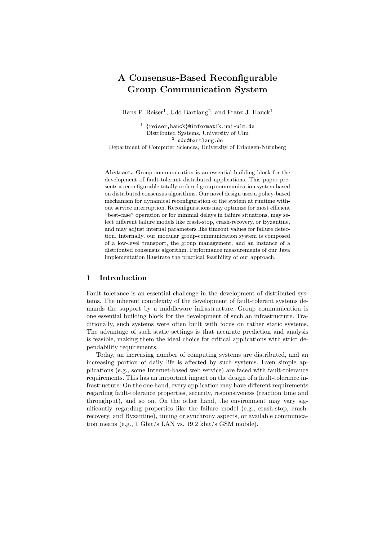# A Consensus-Based Reconfigurable Group Communication System

Hans P. Reiser<sup>1</sup>, Udo Bartlang<sup>2</sup>, and Franz J. Hauck<sup>1</sup>

 $\frac{1}{1}$  {reiser,hauck}@informatik.uni-ulm.de Distributed Systems, University of Ulm  $^{2}$  udo@bartlang.de

Department of Computer Sciences, University of Erlangen-Nürnberg

Abstract. Group communication is an essential building block for the development of fault-tolerant distributed applications. This paper presents a reconfigurable totally-ordered group communication system based on distributed consensus algorithms. Our novel design uses a policy-based mechanism for dynamical reconfiguration of the system at runtime without service interruption. Reconfigurations may optimize for most efficient "best-case" operation or for minimal delays in failure situations, may select different failure models like crash-stop, crash-recovery, or Byzantine, and may adjust internal parameters like timeout values for failure detection. Internally, our modular group-communication system is composed of a low-level transport, the group management, and an instance of a distributed consensus algorithm. Performance measurements of our Java implementation illustrate the practical feasibility of our approach.

# 1 Introduction

Fault tolerance is an essential challenge in the development of distributed systems. The inherent complexity of the development of fault-tolerant systems demands the support by a middleware infrastructure. Group communication is one essential building block for the development of such an infrastructure. Traditionally, such systems were often built with focus on rather static systems. The advantage of such static settings is that accurate prediction and analysis is feasible, making them the ideal choice for critical applications with strict dependability requirements.

Today, an increasing number of computing systems are distributed, and an increasing portion of daily life is affected by such systems. Even simple applications (e.g., some Internet-based web service) are faced with fault-tolerance requirements. This has an important impact on the design of a fault-tolerance infrastructure: On the one hand, every application may have different requirements regarding fault-tolerance properties, security, responsiveness (reaction time and throughput), and so on. On the other hand, the environment may vary significantly regarding properties like the failure model (e.g., crash-stop, crashrecovery, and Byzantine), timing or synchrony aspects, or available communication means (e.g., 1 Gbit/s LAN vs. 19.2 kbit/s GSM mobile).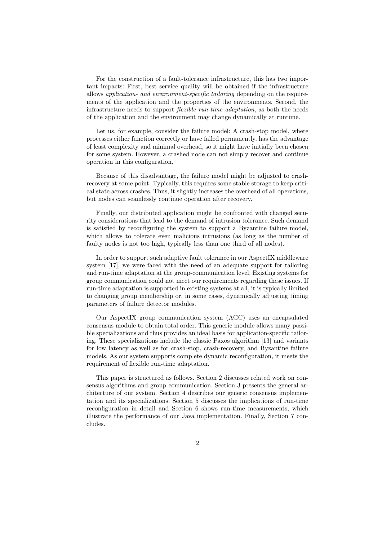For the construction of a fault-tolerance infrastructure, this has two important impacts: First, best service quality will be obtained if the infrastructure allows application- and environment-specific tailoring depending on the requirements of the application and the properties of the environments. Second, the infrastructure needs to support flexible run-time adaptation, as both the needs of the application and the environment may change dynamically at runtime.

Let us, for example, consider the failure model: A crash-stop model, where processes either function correctly or have failed permanently, has the advantage of least complexity and minimal overhead, so it might have initially been chosen for some system. However, a crashed node can not simply recover and continue operation in this configuration.

Because of this disadvantage, the failure model might be adjusted to crashrecovery at some point. Typically, this requires some stable storage to keep critical state across crashes. Thus, it slightly increases the overhead of all operations, but nodes can seamlessly continue operation after recovery.

Finally, our distributed application might be confronted with changed security considerations that lead to the demand of intrusion tolerance. Such demand is satisfied by reconfiguring the system to support a Byzantine failure model, which allows to tolerate even malicious intrusions (as long as the number of faulty nodes is not too high, typically less than one third of all nodes).

In order to support such adaptive fault tolerance in our AspectIX middleware system [17], we were faced with the need of an adequate support for tailoring and run-time adaptation at the group-communication level. Existing systems for group communication could not meet our requirements regarding these issues. If run-time adaptation is supported in existing systems at all, it is typically limited to changing group membership or, in some cases, dynamically adjusting timing parameters of failure detector modules.

Our AspectIX group communication system (AGC) uses an encapsulated consensus module to obtain total order. This generic module allows many possible specializations and thus provides an ideal basis for application-specific tailoring. These specializations include the classic Paxos algorithm [13] and variants for low latency as well as for crash-stop, crash-recovery, and Byzantine failure models. As our system supports complete dynamic reconfiguration, it meets the requirement of flexible run-time adaptation.

This paper is structured as follows. Section 2 discusses related work on consensus algorithms and group communication. Section 3 presents the general architecture of our system. Section 4 describes our generic consensus implementation and its specializations. Section 5 discusses the implications of run-time reconfiguration in detail and Section 6 shows run-time measurements, which illustrate the performance of our Java implementation. Finally, Section 7 concludes.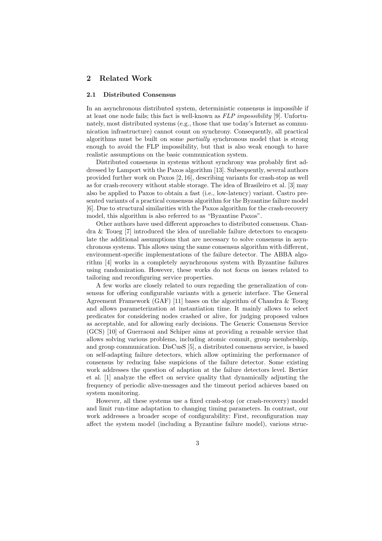# 2 Related Work

#### 2.1 Distributed Consensus

In an asynchronous distributed system, deterministic consensus is impossible if at least one node fails; this fact is well-known as FLP impossibility [9]. Unfortunately, most distributed systems (e.g., those that use today's Internet as communication infrastructure) cannot count on synchrony. Consequently, all practical algorithms must be built on some partially synchronous model that is strong enough to avoid the FLP impossibility, but that is also weak enough to have realistic assumptions on the basic communication system.

Distributed consensus in systems without synchrony was probably first addressed by Lamport with the Paxos algorithm [13]. Subsequently, several authors provided further work on Paxos [2, 16], describing variants for crash-stop as well as for crash-recovery without stable storage. The idea of Brasileiro et al. [3] may also be applied to Paxos to obtain a fast (i.e., low-latency) variant. Castro presented variants of a practical consensus algorithm for the Byzantine failure model [6]. Due to structural similarities with the Paxos algorithm for the crash-recovery model, this algorithm is also referred to as "Byzantine Paxos".

Other authors have used different approaches to distributed consensus. Chandra & Toueg [7] introduced the idea of unreliable failure detectors to encapsulate the additional assumptions that are necessary to solve consensus in asynchronous systems. This allows using the same consensus algorithm with different, environment-specific implementations of the failure detector. The ABBA algorithm [4] works in a completely asynchronous system with Byzantine failures using randomization. However, these works do not focus on issues related to tailoring and reconfiguring service properties.

A few works are closely related to ours regarding the generalization of consensus for offering configurable variants with a generic interface. The General Agreement Framework (GAF) [11] bases on the algorithm of Chandra & Toueg and allows parameterization at instantiation time. It mainly allows to select predicates for considering nodes crashed or alive, for judging proposed values as acceptable, and for allowing early decisions. The Generic Consensus Service (GCS) [10] of Guerraoui and Schiper aims at providing a reusable service that allows solving various problems, including atomic commit, group membership, and group communication. DisCusS [5], a distributed consensus service, is based on self-adapting failure detectors, which allow optimizing the performance of consensus by reducing false suspicions of the failure detector. Some existing work addresses the question of adaption at the failure detectors level. Bertier et al. [1] analyze the effect on service quality that dynamically adjusting the frequency of periodic alive-messages and the timeout period achieves based on system monitoring.

However, all these systems use a fixed crash-stop (or crash-recovery) model and limit run-time adaptation to changing timing parameters. In contrast, our work addresses a broader scope of configurability: First, reconfiguration may affect the system model (including a Byzantine failure model), various struc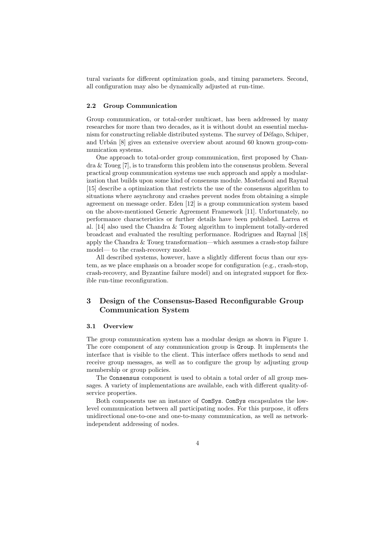tural variants for different optimization goals, and timing parameters. Second, all configuration may also be dynamically adjusted at run-time.

#### 2.2 Group Communication

Group communication, or total-order multicast, has been addressed by many researches for more than two decades, as it is without doubt an essential mechanism for constructing reliable distributed systems. The survey of Défago, Schiper, and Urbán [8] gives an extensive overview about around 60 known group-communication systems.

One approach to total-order group communication, first proposed by Chandra & Toueg [7], is to transform this problem into the consensus problem. Several practical group communication systems use such approach and apply a modularization that builds upon some kind of consensus module. Mostefaoui and Raynal [15] describe a optimization that restricts the use of the consensus algorithm to situations where asynchrony and crashes prevent nodes from obtaining a simple agreement on message order. Eden [12] is a group communication system based on the above-mentioned Generic Agreement Framework [11]. Unfortunately, no performance characteristics or further details have been published. Larrea et al. [14] also used the Chandra & Toueg algorithm to implement totally-ordered broadcast and evaluated the resulting performance. Rodrigues and Raynal [18] apply the Chandra & Toueg transformation—which assumes a crash-stop failure model— to the crash-recovery model.

All described systems, however, have a slightly different focus than our system, as we place emphasis on a broader scope for configuration (e.g., crash-stop, crash-recovery, and Byzantine failure model) and on integrated support for flexible run-time reconfiguration.

# 3 Design of the Consensus-Based Reconfigurable Group Communication System

#### 3.1 Overview

The group communication system has a modular design as shown in Figure 1. The core component of any communication group is Group. It implements the interface that is visible to the client. This interface offers methods to send and receive group messages, as well as to configure the group by adjusting group membership or group policies.

The Consensus component is used to obtain a total order of all group messages. A variety of implementations are available, each with different quality-ofservice properties.

Both components use an instance of ComSys. ComSys encapsulates the lowlevel communication between all participating nodes. For this purpose, it offers unidirectional one-to-one and one-to-many communication, as well as networkindependent addressing of nodes.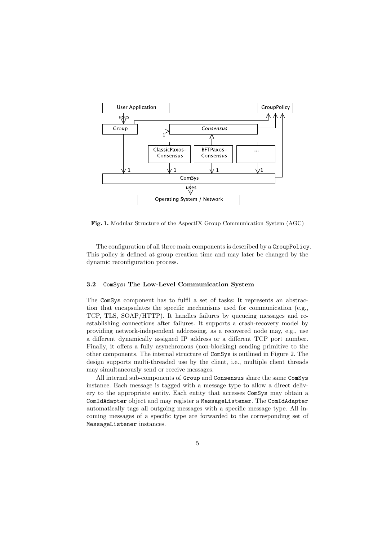

Fig. 1. Modular Structure of the AspectIX Group Communication System (AGC)

The configuration of all three main components is described by a GroupPolicy. This policy is defined at group creation time and may later be changed by the dynamic reconfiguration process.

# 3.2 ComSys: The Low-Level Communication System

The ComSys component has to fulfil a set of tasks: It represents an abstraction that encapsulates the specific mechanisms used for communication (e.g., TCP, TLS, SOAP/HTTP). It handles failures by queueing messages and reestablishing connections after failures. It supports a crash-recovery model by providing network-independent addressing, as a recovered node may, e.g., use a different dynamically assigned IP address or a different TCP port number. Finally, it offers a fully asynchronous (non-blocking) sending primitive to the other components. The internal structure of ComSys is outlined in Figure 2. The design supports multi-threaded use by the client, i.e., multiple client threads may simultaneously send or receive messages.

All internal sub-components of Group and Consensus share the same ComSys instance. Each message is tagged with a message type to allow a direct delivery to the appropriate entity. Each entity that accesses ComSys may obtain a ComIdAdapter object and may register a MessageListener. The ComIdAdapter automatically tags all outgoing messages with a specific message type. All incoming messages of a specific type are forwarded to the corresponding set of MessageListener instances.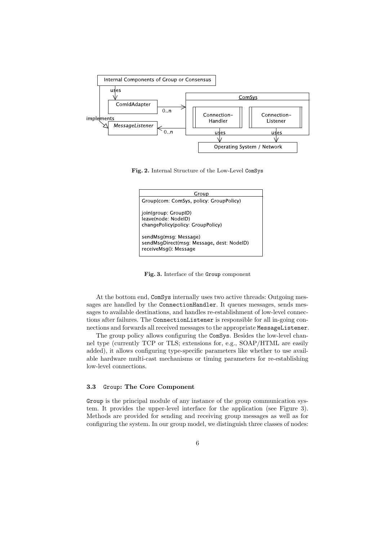

Fig. 2. Internal Structure of the Low-Level ComSys



Fig. 3. Interface of the Group component

At the bottom end, ComSys internally uses two active threads: Outgoing messages are handled by the ConnectionHandler. It queues messages, sends messages to available destinations, and handles re-establishment of low-level connections after failures. The ConnectionListener is responsible for all in-going connections and forwards all received messages to the appropriate MessageListener.

The group policy allows configuring the ComSys. Besides the low-level channel type (currently TCP or TLS; extensions for, e.g., SOAP/HTML are easily added), it allows configuring type-specific parameters like whether to use available hardware multi-cast mechanisms or timing parameters for re-establishing low-level connections.

# 3.3 Group: The Core Component

Group is the principal module of any instance of the group communication system. It provides the upper-level interface for the application (see Figure 3). Methods are provided for sending and receiving group messages as well as for configuring the system. In our group model, we distinguish three classes of nodes: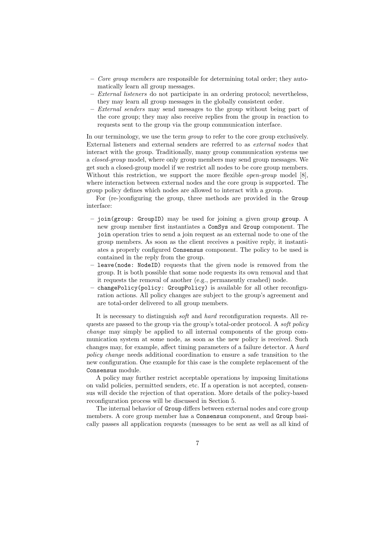- Core group members are responsible for determining total order; they automatically learn all group messages.
- External listeners do not participate in an ordering protocol; nevertheless, they may learn all group messages in the globally consistent order.
- External senders may send messages to the group without being part of the core group; they may also receive replies from the group in reaction to requests sent to the group via the group communication interface.

In our terminology, we use the term *group* to refer to the core group exclusively. External listeners and external senders are referred to as external nodes that interact with the group. Traditionally, many group communication systems use a closed-group model, where only group members may send group messages. We get such a closed-group model if we restrict all nodes to be core group members. Without this restriction, we support the more flexible *open-group* model [8], where interaction between external nodes and the core group is supported. The group policy defines which nodes are allowed to interact with a group.

For (re-)configuring the group, three methods are provided in the Group interface:

- join(group: GroupID) may be used for joining a given group group. A new group member first instantiates a ComSys and Group component. The join operation tries to send a join request as an external node to one of the group members. As soon as the client receives a positive reply, it instantiates a properly configured Consensus component. The policy to be used is contained in the reply from the group.
- leave(node: NodeID) requests that the given node is removed from the group. It is both possible that some node requests its own removal and that it requests the removal of another (e.g., permanently crashed) node.
- changePolicy(policy: GroupPolicy) is available for all other reconfiguration actions. All policy changes are subject to the group's agreement and are total-order delivered to all group members.

It is necessary to distinguish soft and hard reconfiguration requests. All requests are passed to the group via the group's total-order protocol. A soft policy change may simply be applied to all internal components of the group communication system at some node, as soon as the new policy is received. Such changes may, for example, affect timing parameters of a failure detector. A hard policy change needs additional coordination to ensure a safe transition to the new configuration. One example for this case is the complete replacement of the Consensus module.

A policy may further restrict acceptable operations by imposing limitations on valid policies, permitted senders, etc. If a operation is not accepted, consensus will decide the rejection of that operation. More details of the policy-based reconfiguration process will be discussed in Section 5.

The internal behavior of Group differs between external nodes and core group members. A core group member has a Consensus component, and Group basically passes all application requests (messages to be sent as well as all kind of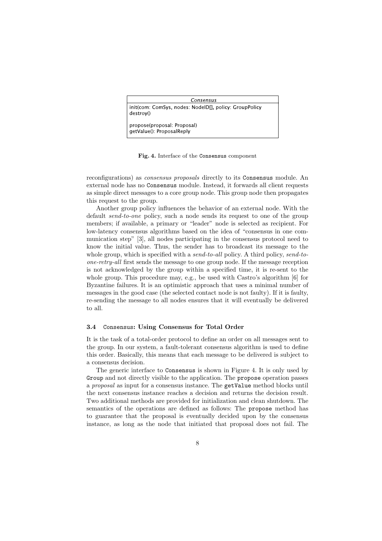| Consensus                                                           |  |
|---------------------------------------------------------------------|--|
| init(com: ComSys, nodes: NodelD[], policy: GroupPolicy<br>destroy() |  |
| propose(proposal: Proposal)<br>getValue(): ProposalReply            |  |

Fig. 4. Interface of the Consensus component

reconfigurations) as consensus proposals directly to its Consensus module. An external node has no Consensus module. Instead, it forwards all client requests as simple direct messages to a core group node. This group node then propagates this request to the group.

Another group policy influences the behavior of an external node. With the default send-to-one policy, such a node sends its request to one of the group members; if available, a primary or "leader" node is selected as recipient. For low-latency consensus algorithms based on the idea of "consensus in one communication step" [3], all nodes participating in the consensus protocol need to know the initial value. Thus, the sender has to broadcast its message to the whole group, which is specified with a *send-to-all* policy. A third policy, *send-to*one-retry-all first sends the message to one group node. If the message reception is not acknowledged by the group within a specified time, it is re-sent to the whole group. This procedure may, e.g., be used with Castro's algorithm [6] for Byzantine failures. It is an optimistic approach that uses a minimal number of messages in the good case (the selected contact node is not faulty). If it is faulty, re-sending the message to all nodes ensures that it will eventually be delivered to all.

#### 3.4 Consensus: Using Consensus for Total Order

It is the task of a total-order protocol to define an order on all messages sent to the group. In our system, a fault-tolerant consensus algorithm is used to define this order. Basically, this means that each message to be delivered is subject to a consensus decision.

The generic interface to Consensus is shown in Figure 4. It is only used by Group and not directly visible to the application. The propose operation passes a proposal as input for a consensus instance. The getValue method blocks until the next consensus instance reaches a decision and returns the decision result. Two additional methods are provided for initialization and clean shutdown. The semantics of the operations are defined as follows: The propose method has to guarantee that the proposal is eventually decided upon by the consensus instance, as long as the node that initiated that proposal does not fail. The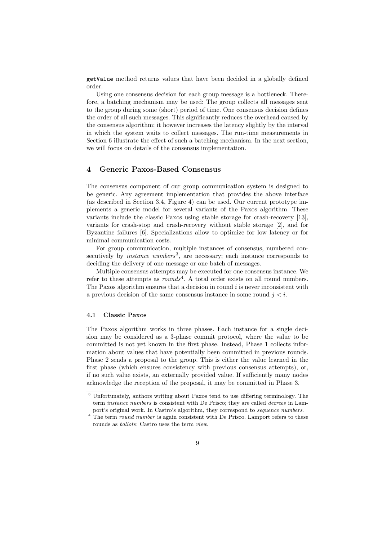getValue method returns values that have been decided in a globally defined order.

Using one consensus decision for each group message is a bottleneck. Therefore, a batching mechanism may be used: The group collects all messages sent to the group during some (short) period of time. One consensus decision defines the order of all such messages. This significantly reduces the overhead caused by the consensus algorithm; it however increases the latency slightly by the interval in which the system waits to collect messages. The run-time measurements in Section 6 illustrate the effect of such a batching mechanism. In the next section, we will focus on details of the consensus implementation.

# 4 Generic Paxos-Based Consensus

The consensus component of our group communication system is designed to be generic. Any agreement implementation that provides the above interface (as described in Section 3.4, Figure 4) can be used. Our current prototype implements a generic model for several variants of the Paxos algorithm. These variants include the classic Paxos using stable storage for crash-recovery [13], variants for crash-stop and crash-recovery without stable storage [2], and for Byzantine failures [6]. Specializations allow to optimize for low latency or for minimal communication costs.

For group communication, multiple instances of consensus, numbered consecutively by *instance numbers*<sup>3</sup>, are necessary; each instance corresponds to deciding the delivery of one message or one batch of messages.

Multiple consensus attempts may be executed for one consensus instance. We refer to these attempts as  $rounds<sup>4</sup>$ . A total order exists on all round numbers. The Paxos algorithm ensures that a decision in round i is never inconsistent with a previous decision of the same consensus instance in some round  $j < i$ .

### 4.1 Classic Paxos

The Paxos algorithm works in three phases. Each instance for a single decision may be considered as a 3-phase commit protocol, where the value to be committed is not yet known in the first phase. Instead, Phase 1 collects information about values that have potentially been committed in previous rounds. Phase 2 sends a proposal to the group. This is either the value learned in the first phase (which ensures consistency with previous consensus attempts), or, if no such value exists, an externally provided value. If sufficiently many nodes acknowledge the reception of the proposal, it may be committed in Phase 3.

<sup>3</sup> Unfortunately, authors writing about Paxos tend to use differing terminology. The term instance numbers is consistent with De Prisco; they are called decrees in Lamport's original work. In Castro's algorithm, they correspond to sequence numbers.

<sup>&</sup>lt;sup>4</sup> The term *round number* is again consistent with De Prisco. Lamport refers to these rounds as ballots; Castro uses the term view.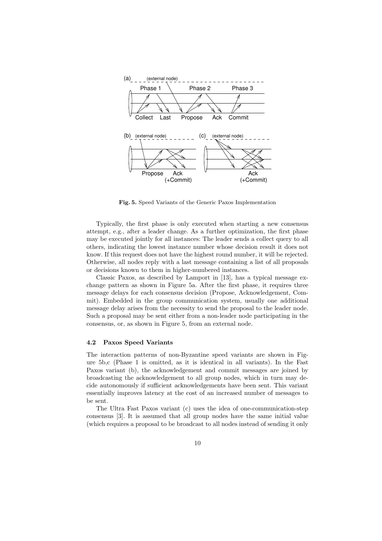

Fig. 5. Speed Variants of the Generic Paxos Implementation

Typically, the first phase is only executed when starting a new consensus attempt, e.g., after a leader change. As a further optimization, the first phase may be executed jointly for all instances: The leader sends a collect query to all others, indicating the lowest instance number whose decision result it does not know. If this request does not have the highest round number, it will be rejected. Otherwise, all nodes reply with a last message containing a list of all proposals or decisions known to them in higher-numbered instances.

Classic Paxos, as described by Lamport in [13], has a typical message exchange pattern as shown in Figure 5a. After the first phase, it requires three message delays for each consensus decision (Propose, Acknowledgement, Commit). Embedded in the group communication system, usually one additional message delay arises from the necessity to send the proposal to the leader node. Such a proposal may be sent either from a non-leader node participating in the consensus, or, as shown in Figure 5, from an external node.

#### 4.2 Paxos Speed Variants

The interaction patterns of non-Byzantine speed variants are shown in Figure 5b,c (Phase 1 is omitted, as it is identical in all variants). In the Fast Paxos variant (b), the acknowledgement and commit messages are joined by broadcasting the acknowledgement to all group nodes, which in turn may decide autonomously if sufficient acknowledgements have been sent. This variant essentially improves latency at the cost of an increased number of messages to be sent.

The Ultra Fast Paxos variant (c) uses the idea of one-communication-step consensus [3]. It is assumed that all group nodes have the same initial value (which requires a proposal to be broadcast to all nodes instead of sending it only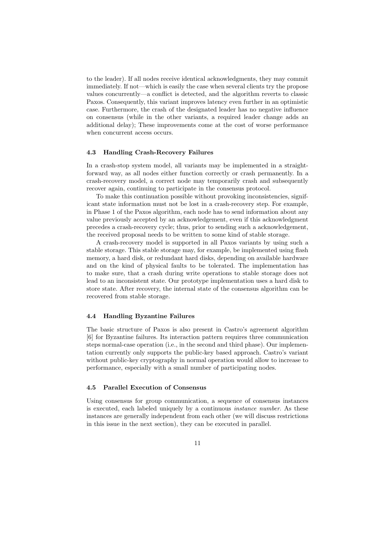to the leader). If all nodes receive identical acknowledgments, they may commit immediately. If not—which is easily the case when several clients try the propose values concurrently—a conflict is detected, and the algorithm reverts to classic Paxos. Consequently, this variant improves latency even further in an optimistic case. Furthermore, the crash of the designated leader has no negative influence on consensus (while in the other variants, a required leader change adds an additional delay); These improvements come at the cost of worse performance when concurrent access occurs.

#### 4.3 Handling Crash-Recovery Failures

In a crash-stop system model, all variants may be implemented in a straightforward way, as all nodes either function correctly or crash permanently. In a crash-recovery model, a correct node may temporarily crash and subsequently recover again, continuing to participate in the consensus protocol.

To make this continuation possible without provoking inconsistencies, significant state information must not be lost in a crash-recovery step. For example, in Phase 1 of the Paxos algorithm, each node has to send information about any value previously accepted by an acknowledgement, even if this acknowledgment precedes a crash-recovery cycle; thus, prior to sending such a acknowledgement, the received proposal needs to be written to some kind of stable storage.

A crash-recovery model is supported in all Paxos variants by using such a stable storage. This stable storage may, for example, be implemented using flash memory, a hard disk, or redundant hard disks, depending on available hardware and on the kind of physical faults to be tolerated. The implementation has to make sure, that a crash during write operations to stable storage does not lead to an inconsistent state. Our prototype implementation uses a hard disk to store state. After recovery, the internal state of the consensus algorithm can be recovered from stable storage.

#### 4.4 Handling Byzantine Failures

The basic structure of Paxos is also present in Castro's agreement algorithm [6] for Byzantine failures. Its interaction pattern requires three communication steps normal-case operation (i.e., in the second and third phase). Our implementation currently only supports the public-key based approach. Castro's variant without public-key cryptography in normal operation would allow to increase to performance, especially with a small number of participating nodes.

#### 4.5 Parallel Execution of Consensus

Using consensus for group communication, a sequence of consensus instances is executed, each labeled uniquely by a continuous instance number. As these instances are generally independent from each other (we will discuss restrictions in this issue in the next section), they can be executed in parallel.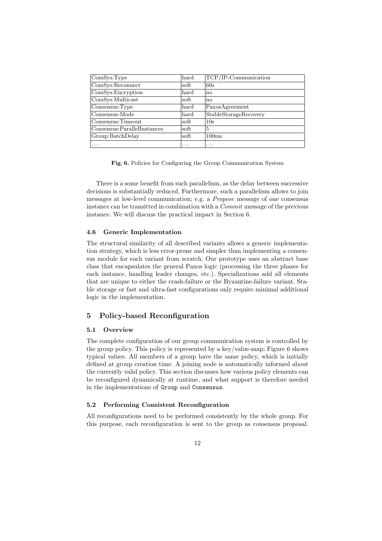| ComSys:Type                  | hard | TCP/IP-Communication  |
|------------------------------|------|-----------------------|
| ComSys:Reconnect             | soft | 60s                   |
| ComSys:Encryption            | hard | $\mathbf{n}$          |
| ComSys: Multicast            | soft | $\mathbf{n}$          |
| Consensus: Type              | hard | PaxosAgreement        |
| Consensus: Mode              | hard | StableStorageRecovery |
| Consensus: Timeout           | soft | 10s                   |
| Consensus: ParallelInstances | soft | 5                     |
| Group:BatchDelay             | soft | 100ms                 |
| .                            | .    | .                     |

Fig. 6. Policies for Configuring the Group Communication System

There is a some benefit from such parallelism, as the delay between successive decisions is substantially reduced. Furthermore, such a parallelism allows to join messages at low-level communication; e.g. a Propose message of one consensus instance can be transitted in combination with a Commit message of the previous instance. We will discuss the practical impact in Section 6.

#### 4.6 Generic Implementation

The structural similarity of all described variants allows a generic implementation strategy, which is less error-prone and simpler than implementing a consensus module for each variant from scratch. Our prototype uses an abstract base class that encapsulates the general Paxos logic (processing the three phases for each instance, handling leader changes, etc.). Specializations add all elements that are unique to either the crash-failure or the Byzantine-failure variant. Stable storage or fast and ultra-fast configurations only require minimal additional logic in the implementation.

# 5 Policy-based Reconfiguration

#### 5.1 Overview

The complete configuration of our group communication system is controlled by the group policy. This policy is represented by a key/value-map; Figure 6 shows typical values. All members of a group have the same policy, which is initially defined at group creation time. A joining node is automatically informed about the currently valid policy. This section discusses how various policy elements can be reconfigured dynamically at runtime, and what support is therefore needed in the implementations of Group and Consensus.

# 5.2 Performing Consistent Reconfiguration

All reconfigurations need to be performed consistently by the whole group. For this purpose, each reconfiguration is sent to the group as consensus proposal.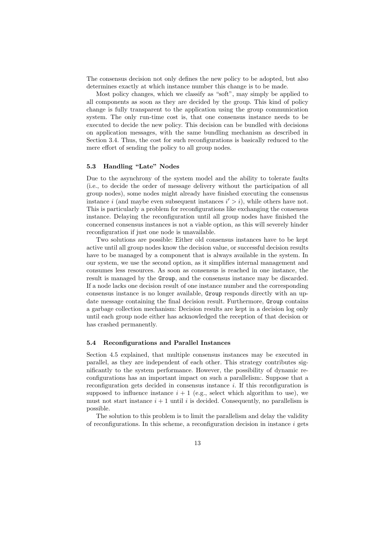The consensus decision not only defines the new policy to be adopted, but also determines exactly at which instance number this change is to be made.

Most policy changes, which we classify as "soft", may simply be applied to all components as soon as they are decided by the group. This kind of policy change is fully transparent to the application using the group communication system. The only run-time cost is, that one consensus instance needs to be executed to decide the new policy. This decision can be bundled with decisions on application messages, with the same bundling mechanism as described in Section 3.4. Thus, the cost for such reconfigurations is basically reduced to the mere effort of sending the policy to all group nodes.

### 5.3 Handling "Late" Nodes

Due to the asynchrony of the system model and the ability to tolerate faults (i.e., to decide the order of message delivery without the participation of all group nodes), some nodes might already have finished executing the consensus instance i (and maybe even subsequent instances  $i' > i$ ), while others have not. This is particularly a problem for reconfigurations like exchanging the consensus instance. Delaying the reconfiguration until all group nodes have finished the concerned consensus instances is not a viable option, as this will severely hinder reconfiguration if just one node is unavailable.

Two solutions are possible: Either old consensus instances have to be kept active until all group nodes know the decision value, or successful decision results have to be managed by a component that is always available in the system. In our system, we use the second option, as it simplifies internal management and consumes less resources. As soon as consensus is reached in one instance, the result is managed by the Group, and the consensus instance may be discarded. If a node lacks one decision result of one instance number and the corresponding consensus instance is no longer available, Group responds directly with an update message containing the final decision result. Furthermore, Group contains a garbage collection mechanism: Decision results are kept in a decision log only until each group node either has acknowledged the reception of that decision or has crashed permanently.

### 5.4 Reconfigurations and Parallel Instances

Section 4.5 explained, that multiple consensus instances may be executed in parallel, as they are independent of each other. This strategy contributes significantly to the system performance. However, the possibility of dynamic reconfigurations has an important impact on such a parallelism:. Suppose that a reconfiguration gets decided in consensus instance  $i$ . If this reconfiguration is supposed to influence instance  $i + 1$  (e.g., select which algorithm to use), we must not start instance  $i + 1$  until i is decided. Consequently, no parallelism is possible.

The solution to this problem is to limit the parallelism and delay the validity of reconfigurations. In this scheme, a reconfiguration decision in instance  $i$  gets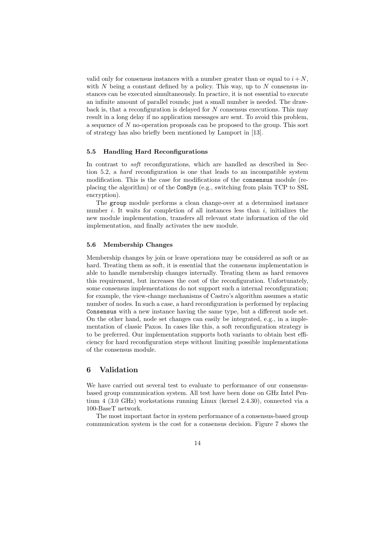valid only for consensus instances with a number greater than or equal to  $i+N$ , with N being a constant defined by a policy. This way, up to N consensus instances can be executed simultaneously. In practice, it is not essential to execute an infinite amount of parallel rounds; just a small number is needed. The drawback is, that a reconfiguration is delayed for  $N$  consensus executions. This may result in a long delay if no application messages are sent. To avoid this problem, a sequence of N no-operation proposals can be proposed to the group. This sort of strategy has also briefly been mentioned by Lamport in [13].

# 5.5 Handling Hard Reconfigurations

In contrast to *soft* reconfigurations, which are handled as described in Section 5.2, a hard reconfiguration is one that leads to an incompatible system modification. This is the case for modifications of the consensus module (replacing the algorithm) or of the ComSys (e.g., switching from plain TCP to SSL encryption).

The group module performs a clean change-over at a determined instance number i. It waits for completion of all instances less than  $i$ , initializes the new module implementation, transfers all relevant state information of the old implementation, and finally activates the new module.

### 5.6 Membership Changes

Membership changes by join or leave operations may be considered as soft or as hard. Treating them as soft, it is essential that the consensus implementation is able to handle membership changes internally. Treating them as hard removes this requirement, but increases the cost of the reconfiguration. Unfortunately, some consensus implementations do not support such a internal reconfiguration; for example, the view-change mechanisms of Castro's algorithm assumes a static number of nodes. In such a case, a hard reconfiguration is performed by replacing Consensus with a new instance having the same type, but a different node set. On the other hand, node set changes can easily be integrated, e.g., in a implementation of classic Paxos. In cases like this, a soft reconfiguration strategy is to be preferred. Our implementation supports both variants to obtain best efficiency for hard reconfiguration steps without limiting possible implementations of the consensus module.

# 6 Validation

We have carried out several test to evaluate to performance of our consensusbased group communication system. All test have been done on GHz Intel Pentium 4 (3.0 GHz) workstations running Linux (kernel 2.4.30), connected via a 100-BaseT network.

The most important factor in system performance of a consensus-based group communication system is the cost for a consensus decision. Figure 7 shows the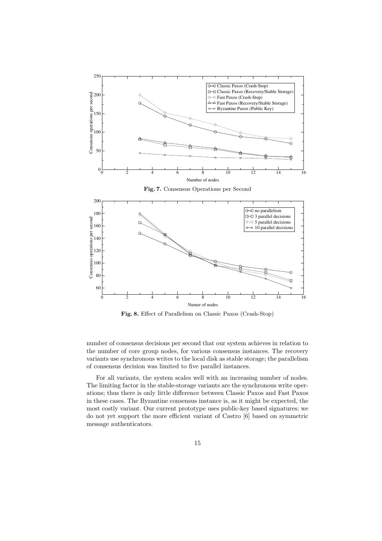

Fig. 8. Effect of Parallelism on Classic Paxos (Crash-Stop)

number of consensus decisions per second that our system achieves in relation to the number of core group nodes, for various consensus instances. The recovery variants use synchronous writes to the local disk as stable storage; the parallelism of consensus decision was limited to five parallel instances.

For all variants, the system scales well with an increasing number of nodes. The limiting factor in the stable-storage variants are the synchronous write operations; thus there is only little difference between Classic Paxos and Fast Paxos in these cases. The Byzantine consensus instance is, as it might be expected, the most costly variant. Our current prototype uses public-key based signatures; we do not yet support the more efficient variant of Castro [6] based on symmetric message authenticators.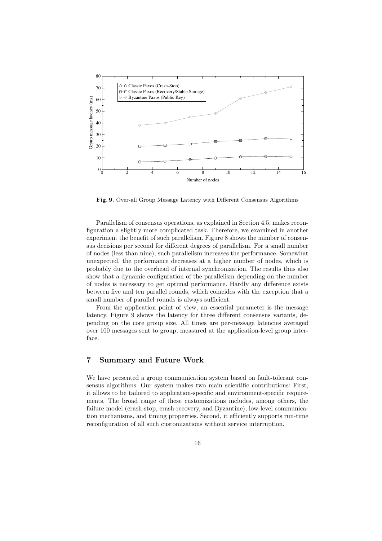

Fig. 9. Over-all Group Message Latency with Different Consensus Algorithms

Parallelism of consensus operations, as explained in Section 4.5, makes reconfiguration a slightly more complicated task. Therefore, we examined in another experiment the benefit of such parallelism. Figure 8 shows the number of consensus decisions per second for different degrees of parallelism. For a small number of nodes (less than nine), such parallelism increases the performance. Somewhat unexpected, the performance decreases at a higher number of nodes, which is probably due to the overhead of internal synchronization. The results thus also show that a dynamic configuration of the parallelism depending on the number of nodes is necessary to get optimal performance. Hardly any difference exists between five and ten parallel rounds, which coincides with the exception that a small number of parallel rounds is always sufficient.

From the application point of view, an essential parameter is the message latency. Figure 9 shows the latency for three different consensus variants, depending on the core group size. All times are per-message latencies averaged over 100 messages sent to group, measured at the application-level group interface.

# 7 Summary and Future Work

We have presented a group communication system based on fault-tolerant consensus algorithms. Our system makes two main scientific contributions: First, it allows to be tailored to application-specific and environment-specific requirements. The broad range of these customizations includes, among others, the failure model (crash-stop, crash-recovery, and Byzantine), low-level communication mechanisms, and timing properties. Second, it efficiently supports run-time reconfiguration of all such customizations without service interruption.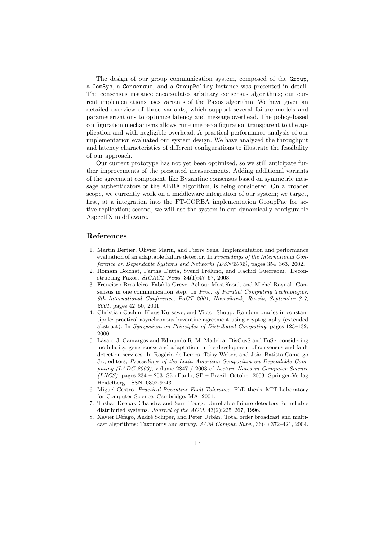The design of our group communication system, composed of the Group, a ComSys, a Consensus, and a GroupPolicy instance was presented in detail. The consensus instance encapsulates arbitrary consensus algorithms; our current implementations uses variants of the Paxos algorithm. We have given an detailed overview of these variants, which support several failure models and parameterizations to optimize latency and message overhead. The policy-based configuration mechanisms allows run-time reconfiguration transparent to the application and with negligible overhead. A practical performance analysis of our implementation evaluated our system design. We have analyzed the throughput and latency characteristics of different configurations to illustrate the feasibility of our approach.

Our current prototype has not yet been optimized, so we still anticipate further improvements of the presented measurements. Adding additional variants of the agreement component, like Byzantine consensus based on symmetric message authenticators or the ABBA algorithm, is being considered. On a broader scope, we currently work on a middleware integration of our system; we target, first, at a integration into the FT-CORBA implementation GroupPac for active replication; second, we will use the system in our dynamically configurable AspectIX middleware.

# References

- 1. Martin Bertier, Olivier Marin, and Pierre Sens. Implementation and performance evaluation of an adaptable failure detector. In Proceedings of the International Conference on Dependable Systems and Networks (DSN'2002), pages 354–363, 2002.
- 2. Romain Boichat, Partha Dutta, Svend Frølund, and Rachid Guerraoui. Deconstructing Paxos. SIGACT News, 34(1):47–67, 2003.
- 3. Francisco Brasileiro, Fabíola Greve, Achour Mostéfaoui, and Michel Raynal. Consensus in one communication step. In Proc. of Parallel Computing Technologies, 6th International Conference, PaCT 2001, Novosibirsk, Russia, September 3-7, 2001, pages 42–50, 2001.
- 4. Christian Cachin, Klaus Kursawe, and Victor Shoup. Random oracles in constantipole: practical asynchronous byzantine agreement using cryptography (extended abstract). In Symposium on Principles of Distributed Computing, pages 123–132, 2000.
- 5. Lásaro J. Camargos and Edmundo R. M. Madeira. DisCusS and FuSe: considering modularity, genericness and adaptation in the development of consensus and fault detection services. In Rogério de Lemos, Taisy Weber, and João Batista Camargo Jr., editors, Proceedings of the Latin American Symposium on Dependable Computing (LADC 2003), volume 2847 / 2003 of Lecture Notes in Computer Science  $(LNCS)$ , pages 234 – 253, São Paulo, SP – Brazil, October 2003. Springer-Verlag Heidelberg. ISSN: 0302-9743.
- 6. Miguel Castro. Practical Byzantine Fault Tolerance. PhD thesis, MIT Laboratory for Computer Science, Cambridge, MA, 2001.
- 7. Tushar Deepak Chandra and Sam Toueg. Unreliable failure detectors for reliable distributed systems. Journal of the ACM, 43(2):225–267, 1996.
- 8. Xavier Défago, André Schiper, and Péter Urbán. Total order broadcast and multicast algorithms: Taxonomy and survey. ACM Comput. Surv., 36(4):372–421, 2004.